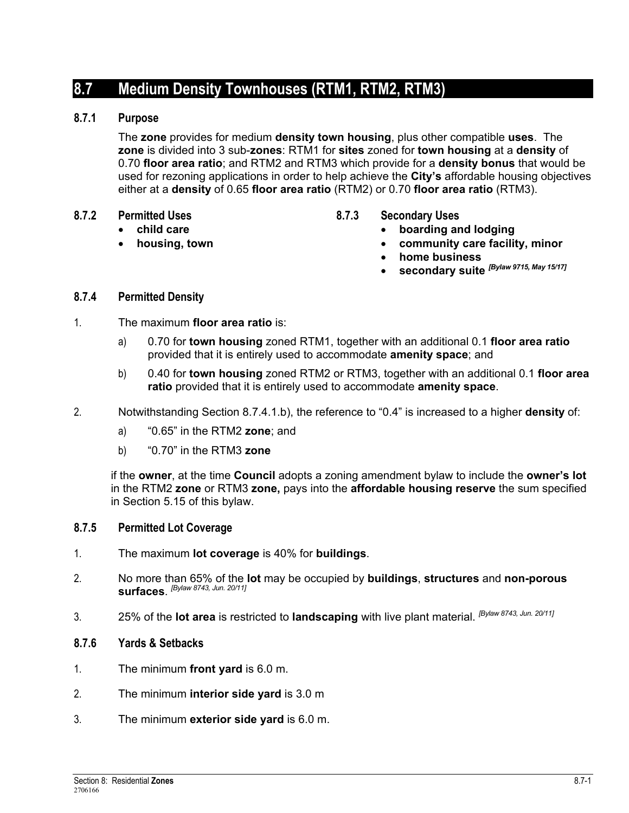# **8.7 Medium Density Townhouses (RTM1, RTM2, RTM3)**

## **8.7.1 Purpose**

The **zone** provides for medium **density town housing**, plus other compatible **uses**. The **zone** is divided into 3 sub-**zones**: RTM1 for **sites** zoned for **town housing** at a **density** of 0.70 **floor area ratio**; and RTM2 and RTM3 which provide for a **density bonus** that would be used for rezoning applications in order to help achieve the **City's** affordable housing objectives either at a **density** of 0.65 **floor area ratio** (RTM2) or 0.70 **floor area ratio** (RTM3).

- **8.7.2 Permitted Uses** 
	- **child care** 
		- **housing, town**
- **8.7.3 Secondary Uses** 
	- **boarding and lodging**
	- **community care facility, minor**
	- **home business**
	- **secondary suite** *[Bylaw 9715, May 15/17]*

# **8.7.4 Permitted Density**

- 1. The maximum **floor area ratio** is:
	- a) 0.70 for **town housing** zoned RTM1, together with an additional 0.1 **floor area ratio** provided that it is entirely used to accommodate **amenity space**; and
	- b) 0.40 for **town housing** zoned RTM2 or RTM3, together with an additional 0.1 **floor area ratio** provided that it is entirely used to accommodate **amenity space**.
- 2. Notwithstanding Section 8.7.4.1.b), the reference to "0.4" is increased to a higher **density** of:
	- a) "0.65" in the RTM2 **zone**; and
	- b) "0.70" in the RTM3 **zone**

if the **owner**, at the time **Council** adopts a zoning amendment bylaw to include the **owner's lot** in the RTM2 **zone** or RTM3 **zone,** pays into the **affordable housing reserve** the sum specified in Section 5.15 of this bylaw.

## **8.7.5 Permitted Lot Coverage**

- 1. The maximum **lot coverage** is 40% for **buildings**.
- 2. No more than 65% of the **lot** may be occupied by **buildings**, **structures** and **non-porous surfaces**. *[Bylaw 8743, Jun. 20/11]*
- 3. 25% of the **lot area** is restricted to **landscaping** with live plant material. *[Bylaw 8743, Jun. 20/11]*

#### **8.7.6 Yards & Setbacks**

- 1. The minimum **front yard** is 6.0 m.
- 2. The minimum **interior side yard** is 3.0 m
- 3. The minimum **exterior side yard** is 6.0 m.